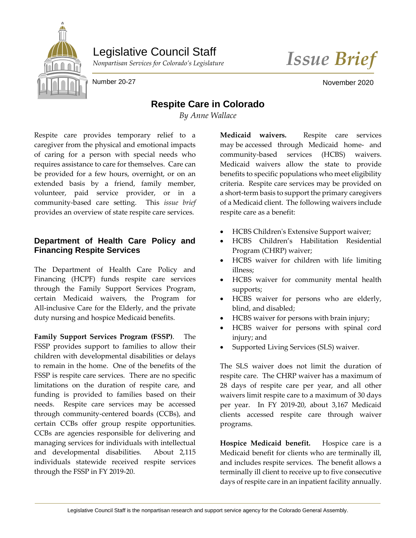

Legislative Council Staff

*Nonpartisan Services for Colorado's Legislature Issue Brief*

Number 20-27 November 2020

## **Respite Care in Colorado**

*By Anne Wallace*

Respite care provides temporary relief to a caregiver from the physical and emotional impacts of caring for a person with special needs who requires assistance to care for themselves. Care can be provided for a few hours, overnight, or on an extended basis by a friend, family member, volunteer, paid service provider, or in a community-based care setting. This *issue brief* provides an overview of state respite care services.

## **Department of Health Care Policy and Financing Respite Services**

The Department of Health Care Policy and Financing (HCPF) funds respite care services through the Family Support Services Program, certain Medicaid waivers, the Program for All-inclusive Care for the Elderly, and the private duty nursing and hospice Medicaid benefits.

**Family Support Services Program (FSSP)**. The FSSP provides support to families to allow their children with developmental disabilities or delays to remain in the home. One of the benefits of the FSSP is respite care services. There are no specific limitations on the duration of respite care, and funding is provided to families based on their needs. Respite care services may be accessed through community-centered boards (CCBs), and certain CCBs offer group respite opportunities. CCBs are agencies responsible for delivering and managing services for individuals with intellectual and developmental disabilities. About 2,115 individuals statewide received respite services through the FSSP in FY 2019-20.

**Medicaid waivers.** Respite care services may be accessed through Medicaid home- and community-based services (HCBS) waivers. Medicaid waivers allow the state to provide benefits to specific populations who meet eligibility criteria. Respite care services may be provided on a short-term basis to support the primary caregivers of a Medicaid client. The following waivers include respite care as a benefit:

- HCBS Children's Extensive Support waiver;
- HCBS Children's Habilitation Residential Program (CHRP) waiver;
- HCBS waiver for children with life limiting illness;
- HCBS waiver for community mental health supports;
- HCBS waiver for persons who are elderly, blind, and disabled;
- HCBS waiver for persons with brain injury;
- HCBS waiver for persons with spinal cord injury; and
- Supported Living Services (SLS) waiver.

The SLS waiver does not limit the duration of respite care. The CHRP waiver has a maximum of 28 days of respite care per year, and all other waivers limit respite care to a maximum of 30 days per year. In FY 2019-20, about 3,167 Medicaid clients accessed respite care through waiver programs.

**Hospice Medicaid benefit.** Hospice care is a Medicaid benefit for clients who are terminally ill, and includes respite services. The benefit allows a terminally ill client to receive up to five consecutive days of respite care in an inpatient facility annually.